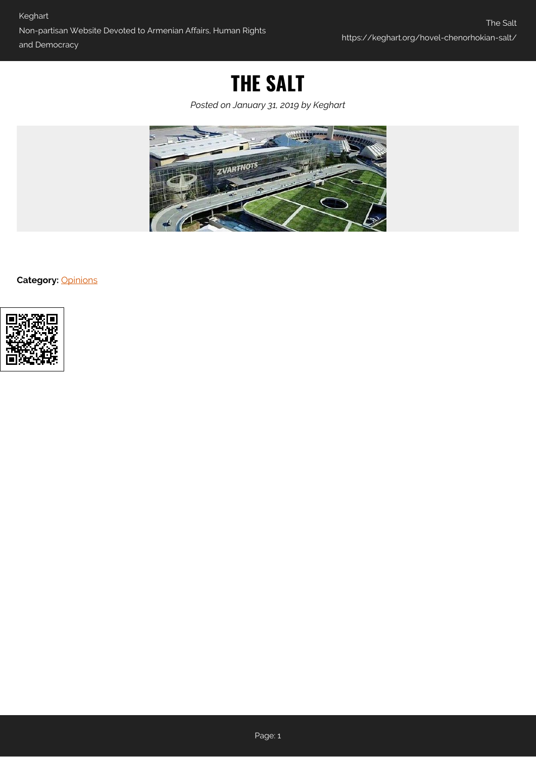## **THE SALT**

*Posted on January 31, 2019 by Keghart*



**Category:** [Opinions](https://keghart.org/category/opinions/)

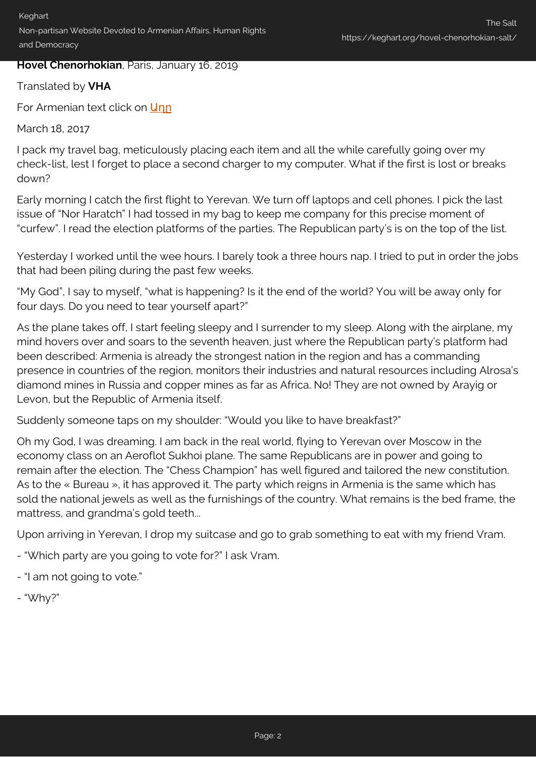## **Hovel Chenorhokian**, Paris, January 16, 2019

## Translated by **VHA**

For Armenian text click on Unn

March 18, 2017

I pack my travel bag, meticulously placing each item and all the while carefully going over my check-list, lest I forget to place a second charger to my computer. What if the first is lost or breaks down?

Early morning I catch the first flight to Yerevan. We turn off laptops and cell phones. I pick the last issue of "Nor Haratch" I had tossed in my bag to keep me company for this precise moment of "curfew". I read the election platforms of the parties. The Republican party's is on the top of the list.

Yesterday I worked until the wee hours. I barely took a three hours nap. I tried to put in order the jobs that had been piling during the past few weeks.

"My God", I say to myself, "what is happening? Is it the end of the world? You will be away only for four days. Do you need to tear yourself apart?"

As the plane takes off, I start feeling sleepy and I surrender to my sleep. Along with the airplane, my mind hovers over and soars to the seventh heaven, just where the Republican party's platform had been described: Armenia is already the strongest nation in the region and has a commanding presence in countries of the region, monitors their industries and natural resources including Alrosa's diamond mines in Russia and copper mines as far as Africa. No! They are not owned by Arayig or Levon, but the Republic of Armenia itself.

Suddenly someone taps on my shoulder: "Would you like to have breakfast?"

Oh my God, I was dreaming. I am back in the real world, flying to Yerevan over Moscow in the economy class on an Aeroflot Sukhoi plane. The same Republicans are in power and going to remain after the election. The "Chess Champion" has well figured and tailored the new constitution. As to the « Bureau », it has approved it. The party which reigns in Armenia is the same which has sold the national jewels as well as the furnishings of the country. What remains is the bed frame, the mattress, and grandma's gold teeth...

Upon arriving in Yerevan, I drop my suitcase and go to grab something to eat with my friend Vram.

- "Which party are you going to vote for?" I ask Vram.
- "I am not going to vote."
- "Why?"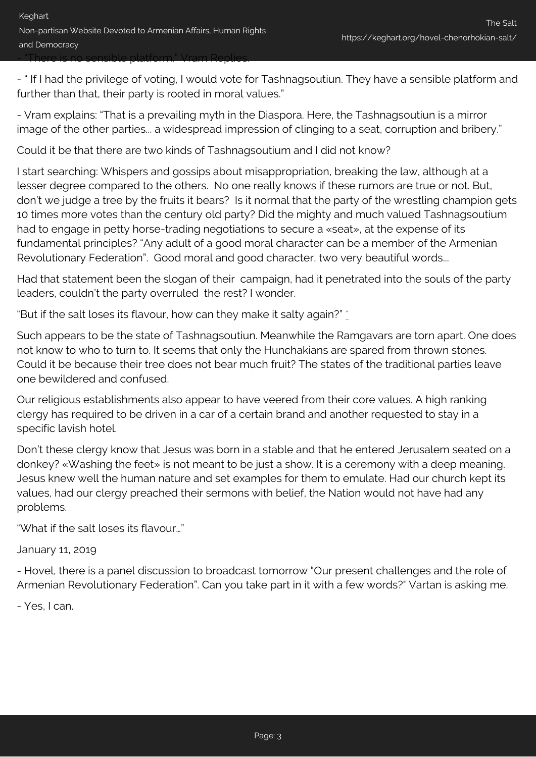- " If I had the privilege of voting, I would vote for Tashnagsoutiun. They have a sensible platform and further than that, their party is rooted in moral values."

- Vram explains: "That is a prevailing myth in the Diaspora. Here, the Tashnagsoutiun is a mirror image of the other parties... a widespread impression of clinging to a seat, corruption and bribery."

Could it be that there are two kinds of Tashnagsoutium and I did not know?

I start searching: Whispers and gossips about misappropriation, breaking the law, although at a lesser degree compared to the others. No one really knows if these rumors are true or not. But, don't we judge a tree by the fruits it bears? Is it normal that the party of the wrestling champion gets 10 times more votes than the century old party? Did the mighty and much valued Tashnagsoutium had to engage in petty horse-trading negotiations to secure a «seat», at the expense of its fundamental principles? "Any adult of a good moral character can be a member of the Armenian Revolutionary Federation". Good moral and good character, two very beautiful words...

Had that statement been the slogan of their campaign, had it penetrated into the souls of the party leaders, couldn't the party overruled the rest? I wonder.

"But if the salt loses its flavour, how can they make it salty again?" [\\*](#page-4-1)

Such appears to be the state of Tashnagsoutiun. Meanwhile the Ramgavars are torn apart. One does not know to who to turn to. It seems that only the Hunchakians are spared from thrown stones. Could it be because their tree does not bear much fruit? The states of the traditional parties leave one bewildered and confused.

Our religious establishments also appear to have veered from their core values. A high ranking clergy has required to be driven in a car of a certain brand and another requested to stay in a specific lavish hotel.

Don't these clergy know that Jesus was born in a stable and that he entered Jerusalem seated on a donkey? «Washing the feet» is not meant to be just a show. It is a ceremony with a deep meaning. Jesus knew well the human nature and set examples for them to emulate. Had our church kept its values, had our clergy preached their sermons with belief, the Nation would not have had any problems.

"What if the salt loses its flavour…"

January 11, 2019

- Hovel, there is a panel discussion to broadcast tomorrow "Our present challenges and the role of Armenian Revolutionary Federation". Can you take part in it with a few words?" Vartan is asking me.

- Yes, I can.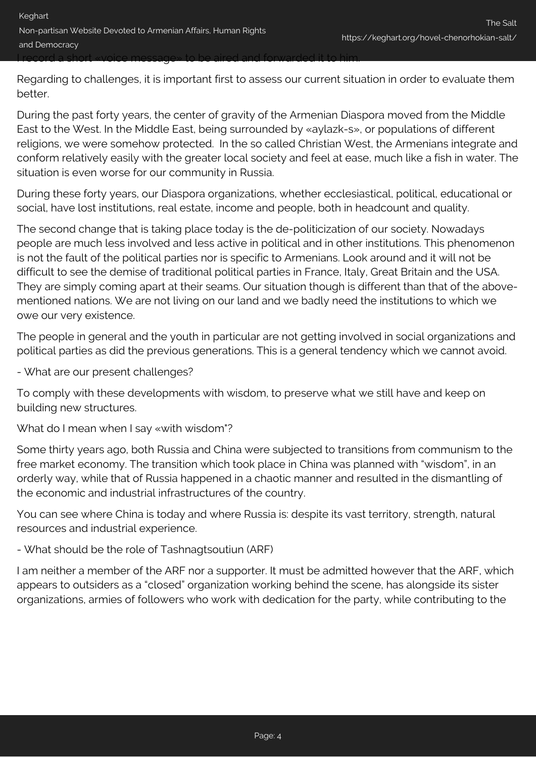Regarding to challenges, it is important first to assess our current situation in order to evaluate them better.

During the past forty years, the center of gravity of the Armenian Diaspora moved from the Middle East to the West. In the Middle East, being surrounded by «aylazk-s», or populations of different religions, we were somehow protected. In the so called Christian West, the Armenians integrate and conform relatively easily with the greater local society and feel at ease, much like a fish in water. The situation is even worse for our community in Russia.

During these forty years, our Diaspora organizations, whether ecclesiastical, political, educational or social, have lost institutions, real estate, income and people, both in headcount and quality.

The second change that is taking place today is the de-politicization of our society. Nowadays people are much less involved and less active in political and in other institutions. This phenomenon is not the fault of the political parties nor is specific to Armenians. Look around and it will not be difficult to see the demise of traditional political parties in France, Italy, Great Britain and the USA. They are simply coming apart at their seams. Our situation though is different than that of the abovementioned nations. We are not living on our land and we badly need the institutions to which we owe our very existence.

The people in general and the youth in particular are not getting involved in social organizations and political parties as did the previous generations. This is a general tendency which we cannot avoid.

- What are our present challenges?

To comply with these developments with wisdom, to preserve what we still have and keep on building new structures.

What do I mean when I say «with wisdom"?

Some thirty years ago, both Russia and China were subjected to transitions from communism to the free market economy. The transition which took place in China was planned with "wisdom", in an orderly way, while that of Russia happened in a chaotic manner and resulted in the dismantling of the economic and industrial infrastructures of the country.

You can see where China is today and where Russia is: despite its vast territory, strength, natural resources and industrial experience.

- What should be the role of Tashnagtsoutiun (ARF)

I am neither a member of the ARF nor a supporter. It must be admitted however that the ARF, which appears to outsiders as a "closed" organization working behind the scene, has alongside its sister organizations, armies of followers who work with dedication for the party, while contributing to the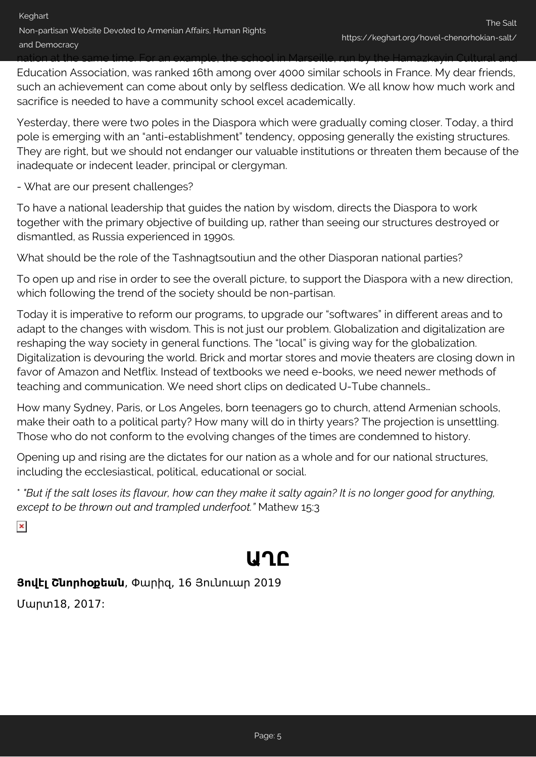nation at the same time. For an example, the school in Marseille, run by the Hamazkayin Cultural and Education Association, was ranked 16th among over 4000 similar schools in France. My dear friends, such an achievement can come about only by selfless dedication. We all know how much work and sacrifice is needed to have a community school excel academically.

Yesterday, there were two poles in the Diaspora which were gradually coming closer. Today, a third pole is emerging with an "anti-establishment" tendency, opposing generally the existing structures. They are right, but we should not endanger our valuable institutions or threaten them because of the inadequate or indecent leader, principal or clergyman.

- What are our present challenges?

To have a national leadership that guides the nation by wisdom, directs the Diaspora to work together with the primary objective of building up, rather than seeing our structures destroyed or dismantled, as Russia experienced in 1990s.

What should be the role of the Tashnagtsoutiun and the other Diasporan national parties?

To open up and rise in order to see the overall picture, to support the Diaspora with a new direction, which following the trend of the society should be non-partisan.

Today it is imperative to reform our programs, to upgrade our "softwares" in different areas and to adapt to the changes with wisdom. This is not just our problem. Globalization and digitalization are reshaping the way society in general functions. The "local" is giving way for the globalization. Digitalization is devouring the world. Brick and mortar stores and movie theaters are closing down in favor of Amazon and Netflix. Instead of textbooks we need e-books, we need newer methods of teaching and communication. We need short clips on dedicated U-Tube channels…

How many Sydney, Paris, or Los Angeles, born teenagers go to church, attend Armenian schools, make their oath to a political party? How many will do in thirty years? The projection is unsettling. Those who do not conform to the evolving changes of the times are condemned to history.

Opening up and rising are the dictates for our nation as a whole and for our national structures, including the ecclesiastical, political, educational or social.

<span id="page-4-1"></span>\* *"But if the salt loses its flavour, how can they make it salty again? It is no longer good for anything, except to be thrown out and trampled underfoot."* Mathew 15:3

<span id="page-4-0"></span> $\pmb{\times}$ 

# **ԱՂԸ**

## **Յովէլ Շնորհօքեան**, Փարիզ, 16 Յունուար 2019

Մարտ18, 2017: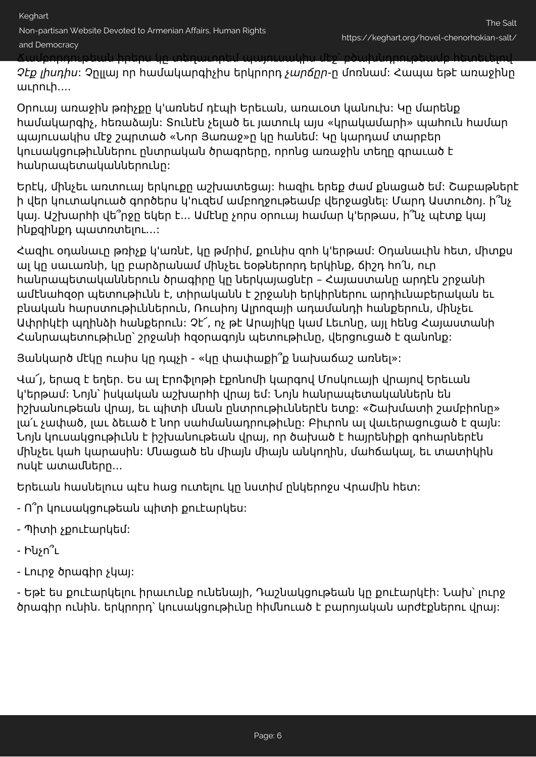Non-partisan Website Devoted to Armenian Affairs, Human Rights

### and Democracy

Ճամբորդութեան իրերս կը տեղաւորեմ պայուսակիս մէջ՝ բծախնդրութեամբ հետեւելով

Չէք լիսդիս: Չըլլայ որ համակարգիչիս երկրորդ չարճըր-ը մոռնամ: Հապա եթէ առաջինը աւրուի....

Օրուայ առաջին թռիչքը կ'առնեմ դէպի Երեւան, առաւօտ կանուխ: Կը մարենք համակարգիչ, հեռաձայն: Տունէն չելած եւ յատուկ այս «կրակամարի» պահուն համար պայուսակիս մէջ շպրտած «Նոր Յառաջ»ը կը հանեմ: Կը կարդամ տարբեր կուսակցութիւններու ընտրական ծրագրերը, որոնց առաջին տեղը գրաւած է հանրապետականներունը:

Երէկ, մինչեւ առտուայ երկուքը աշխատեցայ: հազիւ երեք ժամ քնացած եմ: Շաբաթներէ ի վեր կուտակուած գործերս կ'ուզեմ ամբողջութեամբ վերջացնել: Մարդ Աստուծոյ. ի՞նչ կայ. Աշխարհի վե՞րջը եկեր է... Ամէնը չորս օրուայ համար կ'երթաս, ի՞նչ պէտք կայ ինքզինքդ պատռտելու...:

Հազիւ օդանաւը թռիչք կ'առնէ, կը թմրիմ, քունիս զոհ կ'երթամ: Օդանաւին հետ, միտքս ալ կը սաւառնի, կը բարձրանամ մինչեւ եօթներորդ երկինք, ճիշդ հո՛ն, ուր հանրապետականներուն ծրագիրը կը ներկայացնէր – Հայաստանը արդէն շրջանի ամէնահզօր պետութիւնն է, տիրականն է շրջանի երկիրներու արդիւնաբերական եւ բնական հարստութիւններուն, Ռուսիոյ Ալրոզայի ադամանդի հանքերուն, մինչեւ Ափրիկէի պղինձի հանքերուն: Չէ՜, ոչ թէ Արայիկը կամ Լեւոնը, այլ հենց Հայաստանի Հանրապետութիւնը՝ շրջանի հզօրագոյն պետութիւնը, վերցուցած է զանոնք:

Յանկարծ մէկը ուսիս կը դպչի - «կը փափաքի՞ք նախաճաշ առնել»:

Վա՜յ, երազ է եղեր. Ես ալ Էրոֆլոթի էքոնոմի կարգով Մոսկուայի վրայով Երեւան կ'երթամ: Նոյն՝ իսկական աշխարհի վրայ եմ: Նոյն հանրապետականներն են իշխանութեան վրայ, եւ պիտի մնան ընտրութիւններէն ետք: «Շախմատի շամբիոնը» լա՛ւ չափած, լաւ ձեւած է նոր սահմանադրութիւնը: Բիւրոն ալ վաւերացուցած է զայն: Նոյն կուսակցութիւնն է իշխանութեան վրայ, որ ծախած է հայրենիքի գոհարներէն մինչեւ կահ կարասին: Մնացած են միայն միայն անկողին, մահճակալ, եւ տատիկին ոսկէ ատամները...

Երեւան հասնելուս պէս հաց ուտելու կը նստիմ ընկերոջս Վրամին հետ:

- Ո՞ր կուսակցութեան պիտի քուէարկես:
- Պիտի չքուէարկեմ:
- Ինչո՞ւ
- Լուրջ ծրագիր չկայ:

- Եթէ ես քուէարկելու իրաւունք ունենայի, Դաշնակցութեան կը քուէարկէի: Նախ՝ լուրջ ծրագիր ունին. երկրորդ՝ կուսակցութիւնը հիմնուած է բարոյական արժէքներու վրայ: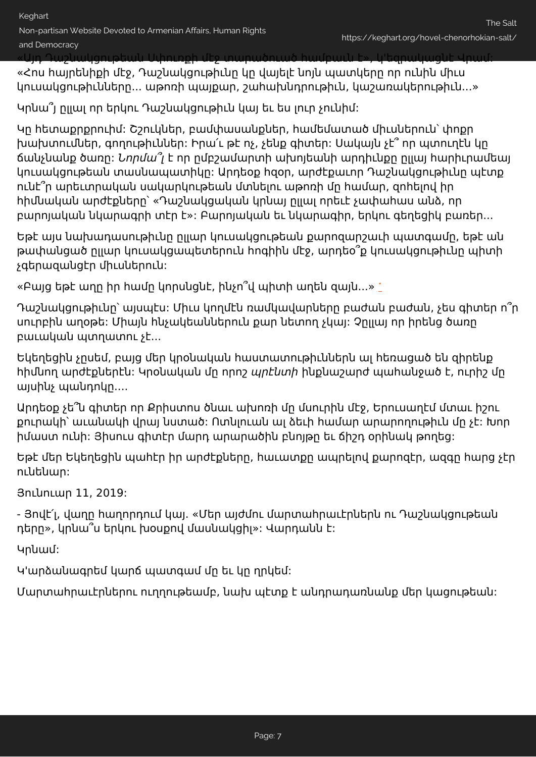«Այդ Դաշնակցութեան Սփուռքի մէջ տարածուած համբաւն է», կ'եզրակացնէ Վրամ:

«Հոս հայրենիքի մէջ, Դաշնակցութիւնը կը վայելէ նոյն պատկերը որ ունին միւս կուսակցութիւնները... աթոռի պայքար, շահախնդրութիւն, կաշառակերութիւն...»

Կրնա՞յ ըլլալ որ երկու Դաշնակցութիւն կայ եւ ես լուր չունիմ:

Կը հետաքրքրուիմ: Շշուկներ, բամփասանքներ, համեմատած միւսներուն՝ փոքր խախտումներ, գողութիւններ: Իրա՛ւ թէ ոչ, չենք գիտեր: Սակայն չէ՞ որ պտուղէն կը ճանչնանք ծառը: Նորմա՞լ է որ ըմբշամարտի ախոյեանի արդիւնքը ըլլայ հարիւրամեայ կուսակցութեան տասնապատիկը: Արդեօք հզօր, արժէքաւոր Դաշնակցութիւնը պէտք ունէ՞ր արեւտրական սակարկութեան մտնելու աթոռի մը համար, զոհելով իր հիմնական արժէքները՝ «Դաշնակցական կրնայ ըլլալ որեւէ չափահաս անձ, որ բարոյական նկարագրի տէր է»: Բարոյական եւ նկարագիր, երկու գեղեցիկ բառեր...

Եթէ այս նախադասութիւնը ըլլար կուսակցութեան քարոզարշաւի պատգամը, եթէ ան թափանցած ըլլար կուսակցապետերուն հոգիին մէջ, արդեօ՞ք կուսակցութիւնը պիտի չգերազանցէր միւսներուն:

«Բայց եթէ աղը իր համը կորսնցնէ, ինչո՞վ պիտի աղեն զայն...» [\\*](#page-8-0)

Դաշնակցութիւնը՝ այսպէս: Միւս կողմէն ռամկավարները բաժան բաժան, չես գիտեր ո՞ր սուրբին աղօթե: Միայն հնչակեաններուն քար նետող չկայ: Չըլլայ որ իրենց ծառը բաւական պտղատու չէ...

Եկեղեցին չըսեմ, բայց մեր կրօնական հաստատութիւններն ալ հեռացած են զիրենք հիմնող արժէքներէն: Կրօնական մը որոշ պրէնտի ինքնաշարժ պահանջած է, ուրիշ մը այսինչ պանդոկը....

Արդեօք չե՞ն գիտեր որ Քրիստոս ծնաւ ախոռի մը մսուրին մէջ, Երուսաղէմ մտաւ իշու քուրակի՝ աւանակի վրայ նստած: Ոտնլուան ալ ձեւի համար արարողութիւն մը չէ: Խոր իմաստ ունի: Յիսուս գիտէր մարդ արարածին բնոյթը եւ ճիշդ օրինակ թողեց:

Եթէ մեր Եկեղեցին պահէր իր արժէքները, հաւատքը ապրելով քարոզէր, ազգը հարց չէր ունենար:

Յունուար 11, 2019:

- Յովէ՛լ, վաղը հաղորդում կայ. «Մեր այժմու մարտահրաւէրներն ու Դաշնակցութեան դերը», կրնա՞ս երկու խօսքով մասնակցիլ»: Վարդանն է:

Կրնամ:

Կ'արձանագրեմ կարճ պատգամ մը եւ կը ղրկեմ:

Մարտահրաւէրներու ուղղութեամբ, նախ պէտք է անդրադառնանք մեր կացութեան: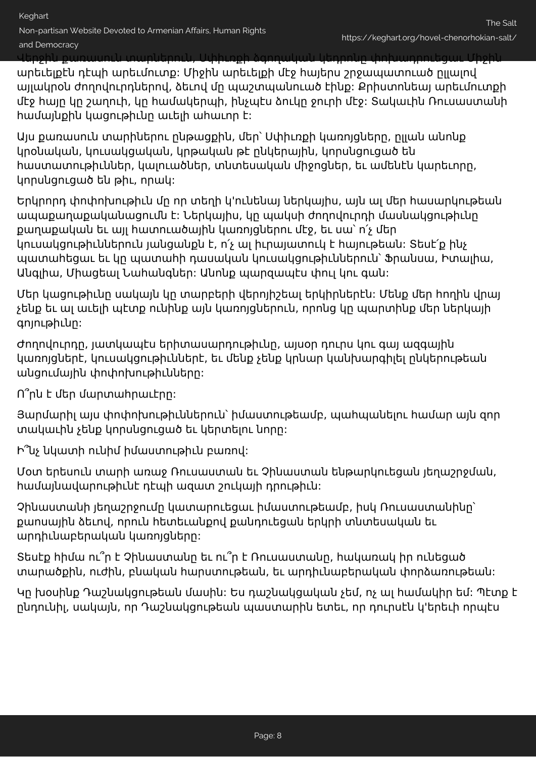Non-partisan Website Devoted to Armenian Affairs, Human Rights

and Democracy

Վերջին քառասուն տարներուն, Սփիւռքի ձգողական կեդրոնը փոխադրուեցաւ Միջին

արեւելքէն դէպի արեւմուտք: Միջին արեւելքի մէջ հայերս շրջապատուած ըլլալով այլակրօն ժողովուրդներով, ձեւով մը պաշտպանուած էինք: Քրիստոնեայ արեւմուտքի մէջ հայը կը շաղուի, կը համակերպի, ինչպէս ձուկը ջուրի մէջ: Տակաւին Ռուսաստանի համայնքին կացութիւնը աւելի ահաւոր է:

Այս քառասուն տարիներու ընթացքին, մեր՝ Սփիւռքի կառոյցները, ըլլան անոնք կրօնական, կուսակցական, կրթական թէ ընկերային, կորսնցուցած են հաստատութիւններ, կալուածներ, տնտեսական միջոցներ, եւ ամենէն կարեւորը, կորսնցուցած են թիւ, որակ:

Երկրորդ փոփոխութիւն մը որ տեղի կ'ունենայ ներկայիս, այն ալ մեր հասարկութեան ապաքաղաքականացումն է: Ներկայիս, կը պակսի ժողովուրդի մասնակցութիւնը քաղաքական եւ այլ հատուածային կառոյցներու մէջ, եւ սա՝ ո՛չ մեր կուսակցութիւններուն յանցանքն է, ո՛չ ալ իւրայատուկ է հայութեան: Տեսէ՛ք ինչ պատահեցաւ եւ կը պատահի դասական կուսակցութիւններուն՝ Ֆրանսա, Իտալիա, Անգլիա, Միացեալ Նահանգներ: Անոնք պարզապէս փուլ կու գան:

Մեր կացութիւնը սակայն կը տարբերի վերոյիշեալ երկիրներէն: Մենք մեր հողին վրայ չենք եւ ալ աւելի պէտք ունինք այն կառոյցներուն, որոնց կը պարտինք մեր ներկայի գոյութիւնը:

Ժողովուրդը, յատկապէս երիտասարդութիւնը, այսօր դուրս կու գայ ազգային կառոյցներէ, կուսակցութիւններէ, եւ մենք չենք կրնար կանխարգիլել ընկերութեան անցումային փոփոխութիւնները:

Ո՞րն է մեր մարտահրաւէրը:

Յարմարիլ այս փոփոխութիւններուն՝ իմաստութեամբ, պահպանելու համար այն զոր տակաւին չենք կորսնցուցած եւ կերտելու նորը:

Ի՞նչ նկատի ունիմ իմաստութիւն բառով:

Մօտ երեսուն տարի առաջ Ռուսաստան եւ Չինաստան ենթարկուեցան յեղաշրջման, համայնավարութիւնէ դէպի ազատ շուկայի դրութիւն:

Չինաստանի յեղաշրջումը կատարուեցաւ իմաստութեամբ, իսկ Ռուսաստանինը՝ քաոսային ձեւով, որուն հետեւանքով քանդուեցան երկրի տնտեսական եւ արդիւնաբերական կառոյցները:

Տեսէք հիմա ու՞ր է Չինաստանը եւ ու՞ր է Ռուսաստանը, հակառակ իր ունեցած տարածքին, ուժին, բնական հարստութեան, եւ արդիւնաբերական փորձառութեան:

Կը խօսինք Դաշնակցութեան մասին: Ես դաշնակցական չեմ, ոչ ալ համակիր եմ: Պէտք է ընդունիլ, սակայն, որ Դաշնակցութեան պաստարին ետեւ, որ դուրսէն կ'երեւի որպէս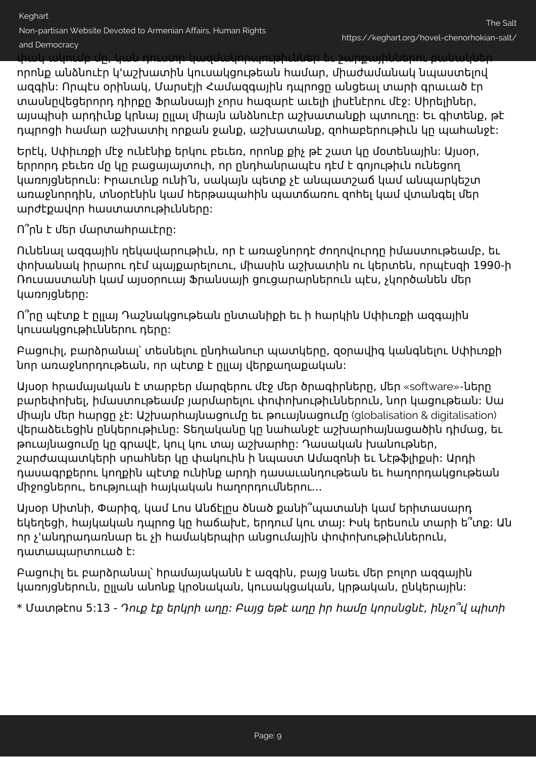and Democracy

փակ ակումբ մը, կան դուստր կազմակորպութիւններ եւ շարքայիններու բանակներ

որոնք անձնուէր կ'աշխատին կուսակցութեան համար, միաժամանակ նպաստելով ազգին: Որպէս օրինակ, Մարսէյի Համազգային դպրոցը անցեալ տարի գրաւած էր տասնըվեցերորդ դիրքը Ֆրանսայի չորս հազարէ աւելի լիսէնէրու մէջ: Սիրելիներ, այսպիսի արդիւնք կրնայ ըլլալ միայն անձնուէր աշխատանքի պտուղը: Եւ գիտենք, թէ դպրոցի համար աշխատիլ որքան ջանք, աշխատանք, զոհաբերութիւն կը պահանջէ:

Երէկ, Սփիւռքի մէջ ունէնիք երկու բեւեռ, որոնք քիչ թէ շատ կը մօտենային: Այսօր, երրորդ բեւեռ մը կը բացայայտուի, որ ընդհանրապէս դէմ է գոյութիւն ունեցող կառոյցներուն: Իրաւունք ունի՛ն, սակայն պետք չէ անպատշաճ կամ անպարկեշտ առաջնորդին, տնօրէնին կամ հերթապահին պատճառու զոհել կամ վտանգել մեր արժէքավոր հաստատութիւնները:

Ո՞րն է մեր մարտահրաւէրը:

Ունենալ ազգային ղեկավարութիւն, որ է առաջնորդէ ժողովուրդը իմաստութեամբ, եւ փոխանակ իրարու դէմ պայքարելուու, միասին աշխատին ու կերտեն, որպէսզի 1990-ի Ռուսաստանի կամ այսօրուայ Ֆրանսայի ցուցարարներուն պէս, չկործանեն մեր կառոյցները:

Ո՞րը պէտք է ըլլայ Դաշնակցութեան ընտանիքի եւ ի հարկին Սփիւռքի ազգային կուսակցութիւններու դերը:

Բացուիլ, բարձրանալ՝ տեսնելու ընդհանուր պատկերը, զօրավիգ կանգնելու Սփիւռքի նոր առաջնորդութեան, որ պէտք է ըլլայ վերքաղաքական:

Այսօր հրամայական է տարբեր մարզերու մէջ մեր ծրագիրները, մեր «software»-ները բարեփոխել, իմաստութեամբ յարմարելու փոփոխութիւններուն, նոր կացութեան: Սա միայն մեր հարցը չէ: Աշխարհայնացումը եւ թուայնացումը (globalisation & digitalisation) վերաձեւեցին ընկերութիւնը: Տեղականը կը նահանջէ աշխարհայնացածին դիմաց, եւ թուայնացումը կը գրավէ, կուլ կու տայ աշխարհը: Դասական խանութներ, շարժապատկերի սրահներ կը փակուին ի նպաստ Ամազոնի եւ Նէթֆլիքսի: Արդի դասագրքերու կողքին պէտք ունինք արդի դասաւանդութեան եւ հաղորդակցութեան միջոցներու, եություպի հայկական հաղորդումներու...

Այսօր Սիտնի, Փարիզ, կամ Լոս Անճէլըս ծնած քանի՞պատանի կամ երիտասարդ եկեղեցի, հայկական դպրոց կը հաճախէ, երդում կու տայ: Իսկ երեսուն տարի ե՞տք: Ան որ չ'անդրադառնար եւ չի համակերպիր անցումային փոփոխութիւններուն, դատապարտուած է:

Բացուիլ եւ բարձրանալ՝ հրամայականն է ազգին, բայց նաեւ մեր բոլոր ազգային կառոյցներուն, ըլլան անոնք կրօնական, կուսակցական, կրթական, ընկերային:

<span id="page-8-0"></span>\* Մատթէոս 5:13 - Դուք էք երկրի աղը: Բայց եթէ աղը իր համը կորսնցնէ, ինչո՞վ պիտի